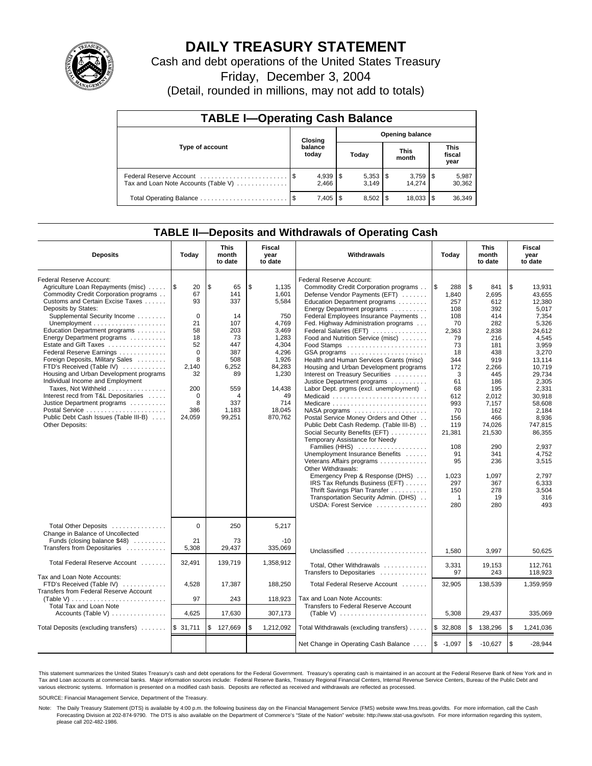

# **DAILY TREASURY STATEMENT**

Cash and debt operations of the United States Treasury

Friday, December 3, 2004

(Detail, rounded in millions, may not add to totals)

| <b>TABLE I-Operating Cash Balance</b>                           |  |                       |                        |                                |                      |        |  |                               |  |  |
|-----------------------------------------------------------------|--|-----------------------|------------------------|--------------------------------|----------------------|--------|--|-------------------------------|--|--|
| Type of account                                                 |  | Closing               | <b>Opening balance</b> |                                |                      |        |  |                               |  |  |
|                                                                 |  | balance<br>today      | Today                  |                                | <b>This</b><br>month |        |  | <b>This</b><br>fiscal<br>year |  |  |
| Federal Reserve Account<br>Tax and Loan Note Accounts (Table V) |  | $4,939$   \$<br>2.466 |                        | $5,353$ $\frac{1}{3}$<br>3.149 |                      | 14.274 |  | 5,987<br>30,362               |  |  |
|                                                                 |  | 7,405                 | - \$                   | $8.502$ S                      |                      | 18.033 |  | 36,349                        |  |  |

### **TABLE II—Deposits and Withdrawals of Operating Cash**

| <b>Deposits</b>                                                                                                                                                                                                                                                                                                                                                                                                                                                                                                                                                                                                                | Today                                                                                                                                    | This<br>month<br>to date                                                                                                     | Fiscal<br>year<br>to date                                                                                                                                 | Withdrawals                                                                                                                                                                                                                                                                                                                                                                                                                                                                                                                                                                                                                                                                                                                                                                                                                                                                                                                                                                                                                    | Today                                                                                                                                                                                                                        | This<br>month<br>to date                                                                                                                                                                                                         | Fiscal<br>year<br>to date                                                                                                                                                                                                                                                       |  |
|--------------------------------------------------------------------------------------------------------------------------------------------------------------------------------------------------------------------------------------------------------------------------------------------------------------------------------------------------------------------------------------------------------------------------------------------------------------------------------------------------------------------------------------------------------------------------------------------------------------------------------|------------------------------------------------------------------------------------------------------------------------------------------|------------------------------------------------------------------------------------------------------------------------------|-----------------------------------------------------------------------------------------------------------------------------------------------------------|--------------------------------------------------------------------------------------------------------------------------------------------------------------------------------------------------------------------------------------------------------------------------------------------------------------------------------------------------------------------------------------------------------------------------------------------------------------------------------------------------------------------------------------------------------------------------------------------------------------------------------------------------------------------------------------------------------------------------------------------------------------------------------------------------------------------------------------------------------------------------------------------------------------------------------------------------------------------------------------------------------------------------------|------------------------------------------------------------------------------------------------------------------------------------------------------------------------------------------------------------------------------|----------------------------------------------------------------------------------------------------------------------------------------------------------------------------------------------------------------------------------|---------------------------------------------------------------------------------------------------------------------------------------------------------------------------------------------------------------------------------------------------------------------------------|--|
| Federal Reserve Account:<br>Agriculture Loan Repayments (misc)<br>Commodity Credit Corporation programs<br>Customs and Certain Excise Taxes<br>Deposits by States:<br>Supplemental Security Income<br>Education Department programs<br>Energy Department programs<br>Estate and Gift Taxes<br>Federal Reserve Earnings<br>Foreign Deposits, Military Sales<br>FTD's Received (Table IV)<br>Housing and Urban Development programs<br>Individual Income and Employment<br>Taxes, Not Withheld<br>Interest recd from T&L Depositaries<br>Justice Department programs<br>Public Debt Cash Issues (Table III-B)<br>Other Deposits: | ۱\$<br>20<br>67<br>93<br>$\Omega$<br>21<br>58<br>18<br>52<br>$\mathbf 0$<br>8<br>2.140<br>32<br>200<br>$\mathbf 0$<br>8<br>386<br>24,059 | l \$<br>65<br>141<br>337<br>14<br>107<br>203<br>73<br>447<br>387<br>508<br>6,252<br>89<br>559<br>4<br>337<br>1,183<br>99,251 | \$<br>1,135<br>1,601<br>5,584<br>750<br>4,769<br>3,469<br>1,283<br>4,304<br>4,296<br>1,926<br>84.283<br>1,230<br>14,438<br>49<br>714<br>18,045<br>870,762 | Federal Reserve Account:<br>Commodity Credit Corporation programs<br>Defense Vendor Payments (EFT)<br>Education Department programs<br>Energy Department programs<br>Federal Employees Insurance Payments<br>Fed. Highway Administration programs<br>Federal Salaries (EFT)<br>Food and Nutrition Service (misc)<br>Food Stamps<br>GSA programs<br>Health and Human Services Grants (misc)<br>Housing and Urban Development programs<br>Interest on Treasury Securities<br>Justice Department programs<br>Labor Dept. prgms (excl. unemployment).<br>Medicaid<br>Medicare<br>NASA programs<br>Postal Service Money Orders and Other<br>Public Debt Cash Redemp. (Table III-B)<br>Social Security Benefits (EFT)<br>Temporary Assistance for Needy<br>Families (HHS)<br>Unemployment Insurance Benefits<br>Veterans Affairs programs<br>Other Withdrawals:<br>Emergency Prep & Response (DHS)<br>IRS Tax Refunds Business (EFT)<br>Thrift Savings Plan Transfer<br>Transportation Security Admin. (DHS)<br>USDA: Forest Service | $\sqrt{3}$<br>288<br>1,840<br>257<br>108<br>108<br>70<br>2,363<br>79<br>73<br>18<br>344<br>172<br>3<br>61<br>68<br>612<br>993<br>70<br>156<br>119<br>21,381<br>108<br>91<br>95<br>1,023<br>297<br>150<br>$\mathbf{1}$<br>280 | l \$<br>841<br>2,695<br>612<br>392<br>414<br>282<br>2,838<br>216<br>181<br>438<br>919<br>2.266<br>445<br>186<br>195<br>2,012<br>7,157<br>162<br>466<br>74,026<br>21,530<br>290<br>341<br>236<br>1.097<br>367<br>278<br>19<br>280 | \$<br>13,931<br>43,655<br>12.380<br>5.017<br>7,354<br>5,326<br>24.612<br>4,545<br>3,959<br>3,270<br>13.114<br>10.719<br>29.734<br>2,305<br>2.331<br>30.918<br>58,608<br>2,184<br>8.936<br>747.815<br>86,355<br>2,937<br>4,752<br>3,515<br>2.797<br>6.333<br>3.504<br>316<br>493 |  |
| Total Other Deposits<br>Change in Balance of Uncollected<br>Funds (closing balance \$48)<br>Transfers from Depositaries                                                                                                                                                                                                                                                                                                                                                                                                                                                                                                        | $\Omega$<br>21<br>5,308                                                                                                                  | 250<br>73<br>29.437                                                                                                          | 5,217<br>$-10$<br>335.069                                                                                                                                 | Unclassified                                                                                                                                                                                                                                                                                                                                                                                                                                                                                                                                                                                                                                                                                                                                                                                                                                                                                                                                                                                                                   | 1,580                                                                                                                                                                                                                        | 3,997                                                                                                                                                                                                                            | 50,625                                                                                                                                                                                                                                                                          |  |
| Total Federal Reserve Account                                                                                                                                                                                                                                                                                                                                                                                                                                                                                                                                                                                                  | 32,491                                                                                                                                   | 139,719                                                                                                                      | 1,358,912                                                                                                                                                 | Total, Other Withdrawals<br>Transfers to Depositaries                                                                                                                                                                                                                                                                                                                                                                                                                                                                                                                                                                                                                                                                                                                                                                                                                                                                                                                                                                          | 3,331<br>97                                                                                                                                                                                                                  | 19,153<br>243                                                                                                                                                                                                                    | 112.761<br>118.923                                                                                                                                                                                                                                                              |  |
| Tax and Loan Note Accounts:<br>FTD's Received (Table IV)<br>Transfers from Federal Reserve Account<br>(Table V)                                                                                                                                                                                                                                                                                                                                                                                                                                                                                                                | 4,528<br>97                                                                                                                              | 17,387<br>243                                                                                                                | 188,250<br>118,923                                                                                                                                        | Total Federal Reserve Account<br>Tax and Loan Note Accounts:                                                                                                                                                                                                                                                                                                                                                                                                                                                                                                                                                                                                                                                                                                                                                                                                                                                                                                                                                                   | 32,905                                                                                                                                                                                                                       | 138,539                                                                                                                                                                                                                          | 1,359,959                                                                                                                                                                                                                                                                       |  |
| Total Tax and Loan Note<br>Accounts (Table V) $\dots \dots \dots \dots$                                                                                                                                                                                                                                                                                                                                                                                                                                                                                                                                                        | 4,625                                                                                                                                    | 17,630                                                                                                                       | 307,173                                                                                                                                                   | Transfers to Federal Reserve Account<br>(Table V) $\ldots \ldots \ldots \ldots \ldots \ldots \ldots$                                                                                                                                                                                                                                                                                                                                                                                                                                                                                                                                                                                                                                                                                                                                                                                                                                                                                                                           | 5,308                                                                                                                                                                                                                        | 29,437                                                                                                                                                                                                                           | 335,069                                                                                                                                                                                                                                                                         |  |
| Total Deposits (excluding transfers)  \$ 31,711                                                                                                                                                                                                                                                                                                                                                                                                                                                                                                                                                                                |                                                                                                                                          | $\mathfrak{s}$<br>127,669                                                                                                    | \$<br>1,212,092                                                                                                                                           | Total Withdrawals (excluding transfers)                                                                                                                                                                                                                                                                                                                                                                                                                                                                                                                                                                                                                                                                                                                                                                                                                                                                                                                                                                                        | \$32,808                                                                                                                                                                                                                     | l \$<br>138,296                                                                                                                                                                                                                  | \$<br>1,241,036                                                                                                                                                                                                                                                                 |  |
|                                                                                                                                                                                                                                                                                                                                                                                                                                                                                                                                                                                                                                |                                                                                                                                          |                                                                                                                              |                                                                                                                                                           | Net Change in Operating Cash Balance                                                                                                                                                                                                                                                                                                                                                                                                                                                                                                                                                                                                                                                                                                                                                                                                                                                                                                                                                                                           | $$ -1,097$                                                                                                                                                                                                                   | l \$<br>$-10,627$                                                                                                                                                                                                                | \$<br>$-28.944$                                                                                                                                                                                                                                                                 |  |

This statement summarizes the United States Treasury's cash and debt operations for the Federal Government. Treasury's operating cash is maintained in an account at the Federal Reserve Bank of New York and in Tax and Loan accounts at commercial banks. Major information sources include: Federal Reserve Banks, Treasury Regional Financial Centers, Internal Revenue Service Centers, Bureau of the Public Debt and<br>various electronic s

SOURCE: Financial Management Service, Department of the Treasury.

Note: The Daily Treasury Statement (DTS) is available by 4:00 p.m. the following business day on the Financial Management Service (FMS) website www.fms.treas.gov/dts. For more information, call the Cash Forecasting Division at 202-874-9790. The DTS is also available on the Department of Commerce's "State of the Nation" website: http://www.stat-usa.gov/sotn. For more information regarding this system, please call 202-482-1986.